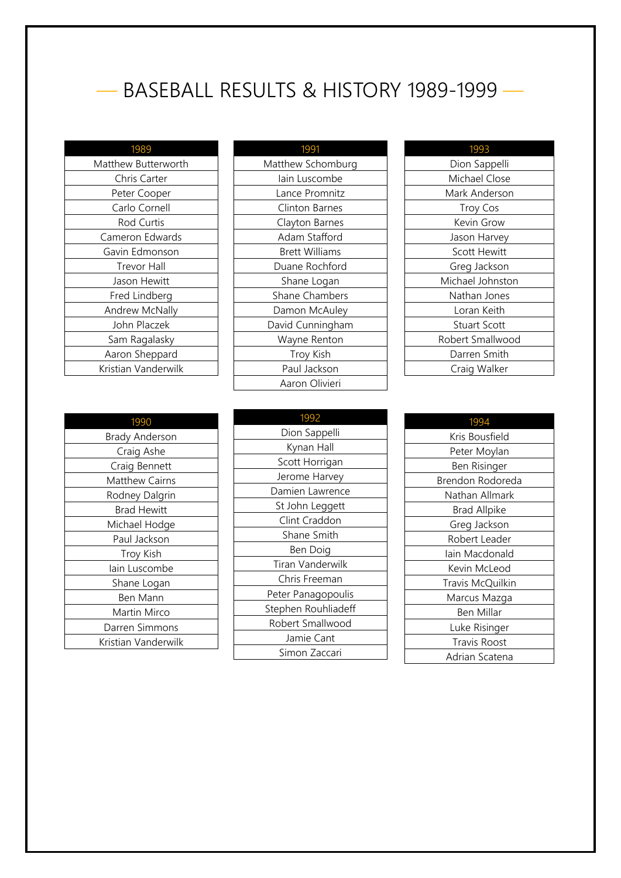## — BASEBALL RESULTS & HISTORY 1989-1999 —

| 1989                |
|---------------------|
| Matthew Butterworth |
| Chris Carter        |
| Peter Cooper        |
| Carlo Cornell       |
| Rod Curtis          |
| Cameron Edwards     |
| Gavin Edmonson      |
| Trevor Hall         |
| Jason Hewitt        |
| Fred Lindberg       |
| Andrew McNally      |
| John Placzek        |
| Sam Ragalasky       |
| Aaron Sheppard      |
| Kristian Vanderwilk |
|                     |

| 1991                  |
|-----------------------|
| Matthew Schomburg     |
| lain Luscombe         |
| Lance Promnitz        |
| Clinton Barnes        |
| Clayton Barnes        |
| Adam Stafford         |
| <b>Brett Williams</b> |
| Duane Rochford        |
| Shane Logan           |
| <b>Shane Chambers</b> |
| Damon McAuley         |
| David Cunningham      |
| Wayne Renton          |
| Troy Kish             |
| Paul Jackson          |
| Aaron Olivieri        |

| 1993                |
|---------------------|
| Dion Sappelli       |
| Michael Close       |
| Mark Anderson       |
| <b>Troy Cos</b>     |
| Kevin Grow          |
| Jason Harvey        |
| <b>Scott Hewitt</b> |
| Greg Jackson        |
| Michael Johnston    |
| Nathan Jones        |
| Loran Keith         |
| <b>Stuart Scott</b> |
| Robert Smallwood    |
| Darren Smith        |
| Craig Walker        |

| 1990                  |
|-----------------------|
| <b>Brady Anderson</b> |
| Craig Ashe            |
| Craig Bennett         |
| Matthew Cairns        |
| Rodney Dalgrin        |
| <b>Brad Hewitt</b>    |
| Michael Hodge         |
| Paul Jackson          |
| <b>Troy Kish</b>      |
| lain Luscombe         |
| Shane Logan           |
| Ben Mann              |
| Martin Mirco          |
| Darren Simmons        |
| Kristian Vanderwilk   |

| 1992                |
|---------------------|
| Dion Sappelli       |
| Kynan Hall          |
| Scott Horrigan      |
| Jerome Harvey       |
| Damien Lawrence     |
| St John Leggett     |
| Clint Craddon       |
| Shane Smith         |
| Ben Doig            |
| Tiran Vanderwilk    |
| Chris Freeman       |
| Peter Panagopoulis  |
| Stephen Rouhliadeff |
| Robert Smallwood    |
| Jamie Cant          |
| Simon Zaccari       |

| 1994                |
|---------------------|
| Kris Bousfield      |
| Peter Moylan        |
| Ben Risinger        |
| Brendon Rodoreda    |
| Nathan Allmark      |
| <b>Brad Allpike</b> |
| Greg Jackson        |
| Robert Leader       |
| lain Macdonald      |
| Kevin McLeod        |
| Travis McQuilkin    |
| Marcus Mazga        |
| Ben Millar          |
| Luke Risinger       |
| <b>Travis Roost</b> |
| Adrian Scatena      |
|                     |